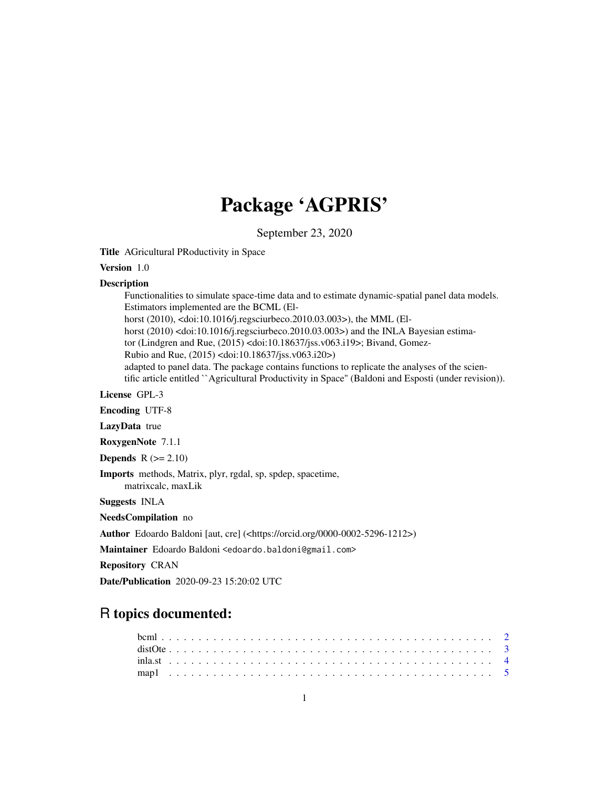# Package 'AGPRIS'

September 23, 2020

Title AGricultural PRoductivity in Space

# Version 1.0

# **Description**

Functionalities to simulate space-time data and to estimate dynamic-spatial panel data models. Estimators implemented are the BCML (Elhorst (2010), <doi:10.1016/j.regsciurbeco.2010.03.003>), the MML (Elhorst (2010) <doi:10.1016/j.regsciurbeco.2010.03.003>) and the INLA Bayesian estimator (Lindgren and Rue, (2015) <doi:10.18637/jss.v063.i19>; Bivand, Gomez-Rubio and Rue, (2015) <doi:10.18637/jss.v063.i20>) adapted to panel data. The package contains functions to replicate the analyses of the scientific article entitled ``Agricultural Productivity in Space'' (Baldoni and Esposti (under revision)).

License GPL-3

Encoding UTF-8

LazyData true

RoxygenNote 7.1.1

**Depends**  $R$  ( $>= 2.10$ )

Imports methods, Matrix, plyr, rgdal, sp, spdep, spacetime,

matrixcalc, maxLik

Suggests INLA

NeedsCompilation no

Author Edoardo Baldoni [aut, cre] (<https://orcid.org/0000-0002-5296-1212>)

Maintainer Edoardo Baldoni <edoardo.baldoni@gmail.com>

Repository CRAN

Date/Publication 2020-09-23 15:20:02 UTC

# R topics documented: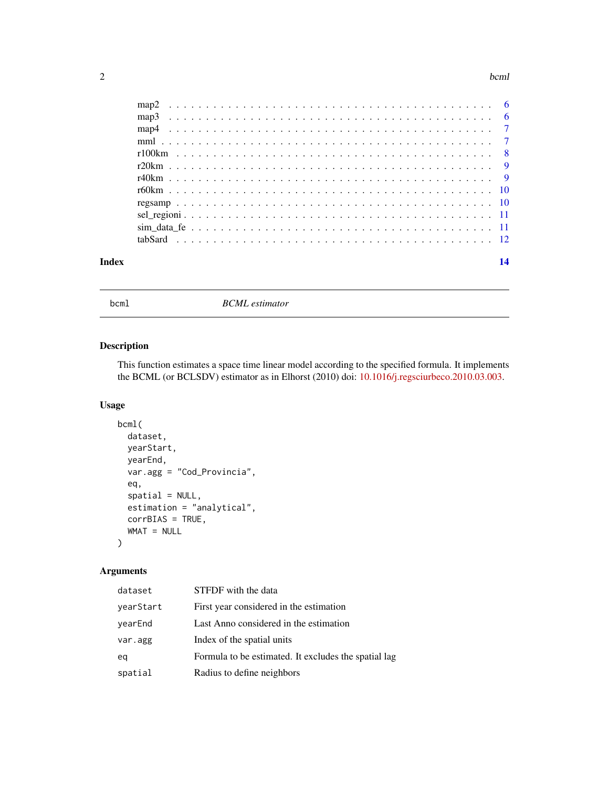#### <span id="page-1-0"></span>2 bcml

| Index |  |  |  | 14 |
|-------|--|--|--|----|
|       |  |  |  |    |
|       |  |  |  |    |
|       |  |  |  |    |
|       |  |  |  |    |
|       |  |  |  |    |
|       |  |  |  |    |
|       |  |  |  |    |
|       |  |  |  |    |
|       |  |  |  |    |
|       |  |  |  |    |
|       |  |  |  |    |
|       |  |  |  |    |

bcml *BCML estimator*

# Description

This function estimates a space time linear model according to the specified formula. It implements the BCML (or BCLSDV) estimator as in Elhorst (2010) doi: [10.1016/j.regsciurbeco.2010.03.003.](https://doi.org/10.1016/j.regsciurbeco.2010.03.003)

# Usage

```
bcml(
 dataset,
 yearStart,
 yearEnd,
 var.agg = "Cod_Provincia",
 eq,
 spatial = NULL,estimation = "analytical",
 corrBIAS = TRUE,
 WMAT = NULL
)
```
# Arguments

| dataset   | STFDF with the data                                  |
|-----------|------------------------------------------------------|
| yearStart | First year considered in the estimation              |
| yearEnd   | Last Anno considered in the estimation               |
| var.agg   | Index of the spatial units                           |
| eq        | Formula to be estimated. It excludes the spatial lag |
| spatial   | Radius to define neighbors                           |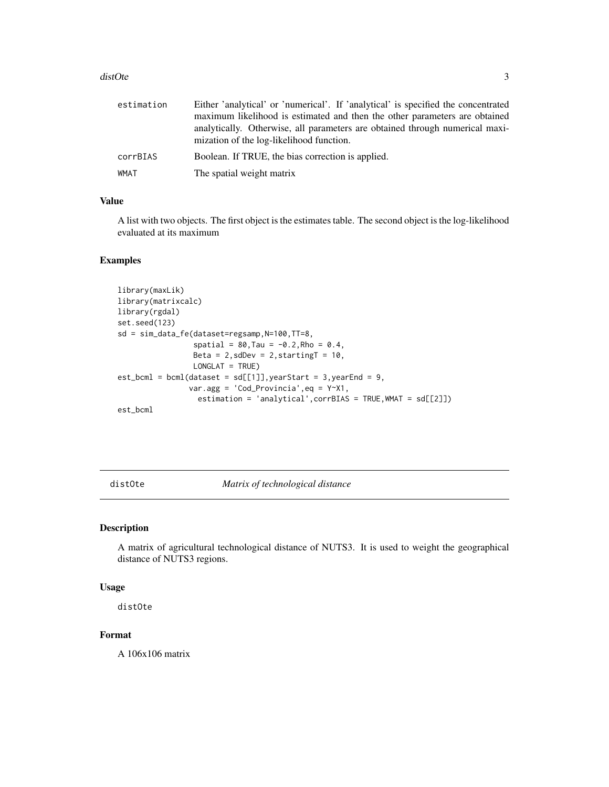#### <span id="page-2-0"></span>distOte 3

| estimation | Either 'analytical' or 'numerical'. If 'analytical' is specified the concentrated                                        |
|------------|--------------------------------------------------------------------------------------------------------------------------|
|            | maximum likelihood is estimated and then the other parameters are obtained                                               |
|            | analytically. Otherwise, all parameters are obtained through numerical maxi-<br>mization of the log-likelihood function. |
| corrBIAS   | Boolean. If TRUE, the bias correction is applied.                                                                        |
| WMAT       | The spatial weight matrix                                                                                                |

# Value

A list with two objects. The first object is the estimates table. The second object is the log-likelihood evaluated at its maximum

# Examples

```
library(maxLik)
library(matrixcalc)
library(rgdal)
set.seed(123)
sd = sim_data_fe(dataset=regsamp,N=100,TT=8,
                 spatial = 80, Tau = -0.2, Rho = 0.4,
                 Beta = 2, sdDev = 2, startingT = 10,
                 LONGLAT = TRUE)
est\_bcm1 = bm1(dataset = sd[[1]], yearStart = 3, yearEnd = 9,var.agg = 'Cod_Provincia',eq = Y~X1,
                  estimation = 'analytical',corrBIAS = TRUE,WMAT = sd[[2]])
est_bcml
```
distOte *Matrix of technological distance*

# Description

A matrix of agricultural technological distance of NUTS3. It is used to weight the geographical distance of NUTS3 regions.

# Usage

distOte

# Format

A 106x106 matrix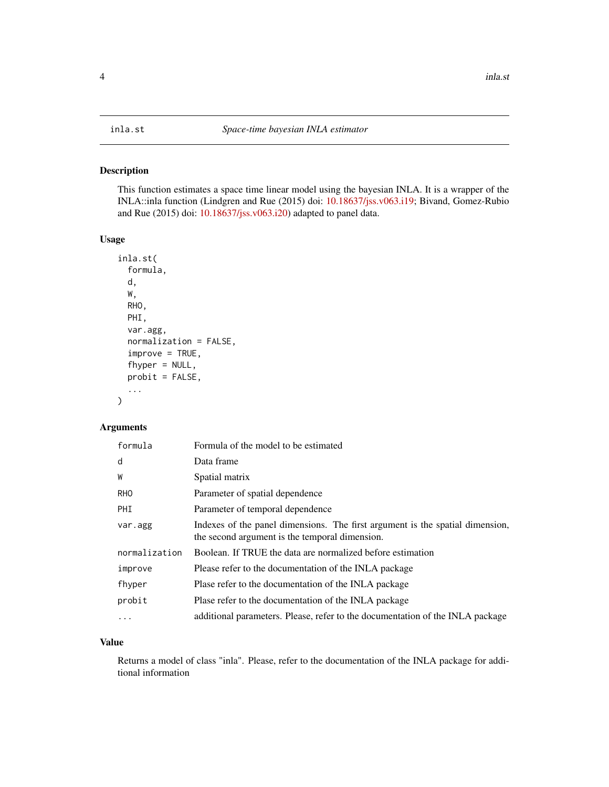<span id="page-3-0"></span>This function estimates a space time linear model using the bayesian INLA. It is a wrapper of the INLA::inla function (Lindgren and Rue (2015) doi: [10.18637/jss.v063.i19;](https://doi.org/10.18637/jss.v063.i19) Bivand, Gomez-Rubio and Rue (2015) doi: [10.18637/jss.v063.i20\)](https://doi.org/10.18637/jss.v063.i20) adapted to panel data.

# Usage

```
inla.st(
  formula,
  d,
 W,
 RHO,
 PHI,
  var.agg,
  normalization = FALSE,
  improve = TRUE,
  fhyper = NULL,
 probit = FALSE,
  ...
)
```
# Arguments

| formula       | Formula of the model to be estimated                                                                                            |
|---------------|---------------------------------------------------------------------------------------------------------------------------------|
| d             | Data frame                                                                                                                      |
| W             | Spatial matrix                                                                                                                  |
| <b>RHO</b>    | Parameter of spatial dependence                                                                                                 |
| PHI           | Parameter of temporal dependence                                                                                                |
| var.agg       | Indexes of the panel dimensions. The first argument is the spatial dimension,<br>the second argument is the temporal dimension. |
| normalization | Boolean. If TRUE the data are normalized before estimation                                                                      |
| improve       | Please refer to the documentation of the INLA package                                                                           |
| fhyper        | Plase refer to the documentation of the INLA package                                                                            |
| probit        | Plase refer to the documentation of the INLA package                                                                            |
| .             | additional parameters. Please, refer to the documentation of the INLA package                                                   |

### Value

Returns a model of class "inla". Please, refer to the documentation of the INLA package for additional information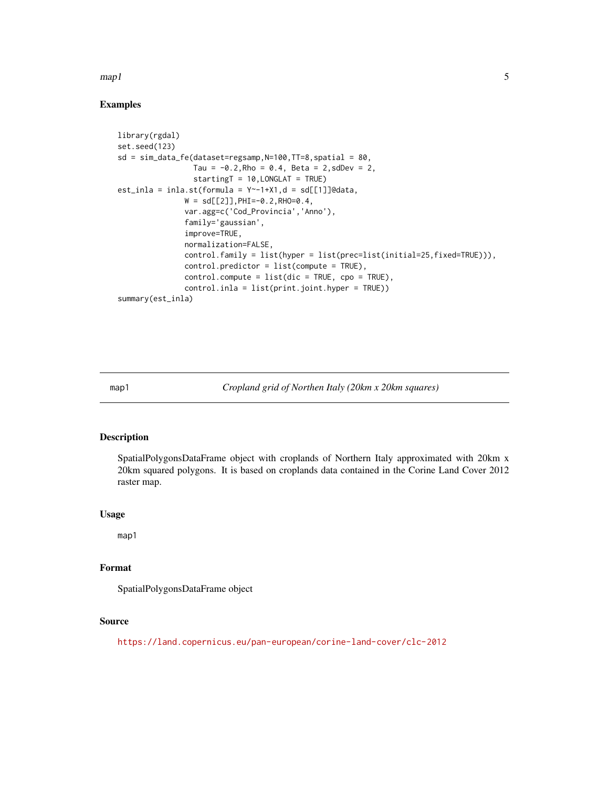#### <span id="page-4-0"></span> $map1$  5

## Examples

```
library(rgdal)
set.seed(123)
sd = sim_data_fe(dataset=regsamp,N=100,TT=8,spatial = 80,
                 Tau = -0.2, Rho = 0.4, Beta = 2, sdDev = 2,
                 startingT = 10,LONGLAT = TRUE)
est\_inla = inla.st(formula = Y^{\sim-1+X1}, d = sd[[1]]@data,W = sd[[2]], PHI=-0.2, RHO=0.4,
               var.agg=c('Cod_Provincia','Anno'),
               family='gaussian',
               improve=TRUE,
               normalization=FALSE,
               control.family = list(hyper = list(prec=list(initial=25,fixed=TRUE))),
               control.predictor = list(compute = TRUE),
               control.compute = list(dic = TRUE, cpo = TRUE),
               control.inla = list(print.joint.hyper = TRUE))
summary(est_inla)
```
map1 *Cropland grid of Northen Italy (20km x 20km squares)*

# Description

SpatialPolygonsDataFrame object with croplands of Northern Italy approximated with 20km x 20km squared polygons. It is based on croplands data contained in the Corine Land Cover 2012 raster map.

#### Usage

map1

# Format

SpatialPolygonsDataFrame object

#### Source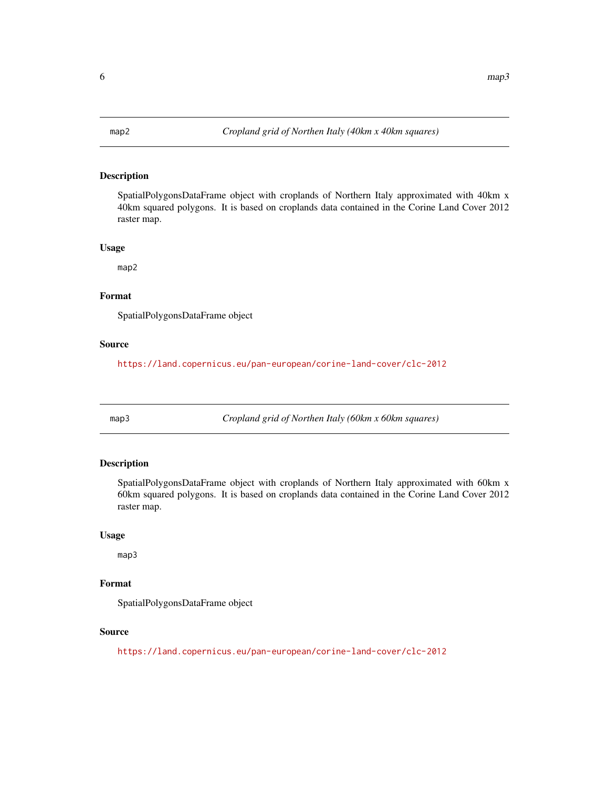<span id="page-5-0"></span>

SpatialPolygonsDataFrame object with croplands of Northern Italy approximated with 40km x 40km squared polygons. It is based on croplands data contained in the Corine Land Cover 2012 raster map.

#### Usage

map2

#### Format

SpatialPolygonsDataFrame object

### Source

<https://land.copernicus.eu/pan-european/corine-land-cover/clc-2012>

map3 *Cropland grid of Northen Italy (60km x 60km squares)*

# Description

SpatialPolygonsDataFrame object with croplands of Northern Italy approximated with 60km x 60km squared polygons. It is based on croplands data contained in the Corine Land Cover 2012 raster map.

# Usage

map3

# Format

SpatialPolygonsDataFrame object

#### Source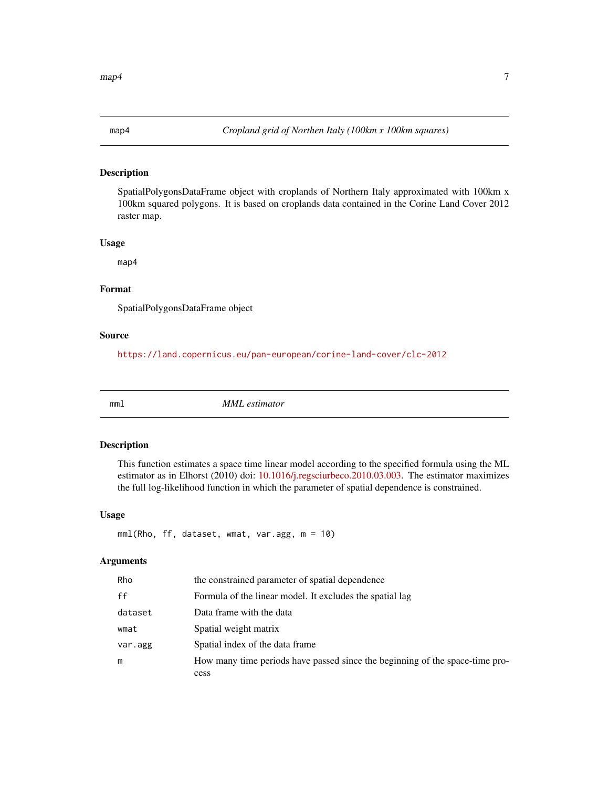<span id="page-6-0"></span>

SpatialPolygonsDataFrame object with croplands of Northern Italy approximated with 100km x 100km squared polygons. It is based on croplands data contained in the Corine Land Cover 2012 raster map.

#### Usage

map4

# Format

SpatialPolygonsDataFrame object

#### Source

<https://land.copernicus.eu/pan-european/corine-land-cover/clc-2012>

mml *MML estimator*

#### Description

This function estimates a space time linear model according to the specified formula using the ML estimator as in Elhorst (2010) doi: [10.1016/j.regsciurbeco.2010.03.003.](https://doi.org/10.1016/j.regsciurbeco.2010.03.003) The estimator maximizes the full log-likelihood function in which the parameter of spatial dependence is constrained.

#### Usage

```
mml(Rho, ff, dataset, wmat, var.agg, m = 10)
```
#### Arguments

| <b>Rho</b> | the constrained parameter of spatial dependence                              |
|------------|------------------------------------------------------------------------------|
| ff         | Formula of the linear model. It excludes the spatial lag                     |
| dataset    | Data frame with the data                                                     |
| wmat       | Spatial weight matrix                                                        |
| var.agg    | Spatial index of the data frame.                                             |
| m          | How many time periods have passed since the beginning of the space-time pro- |
|            | cess                                                                         |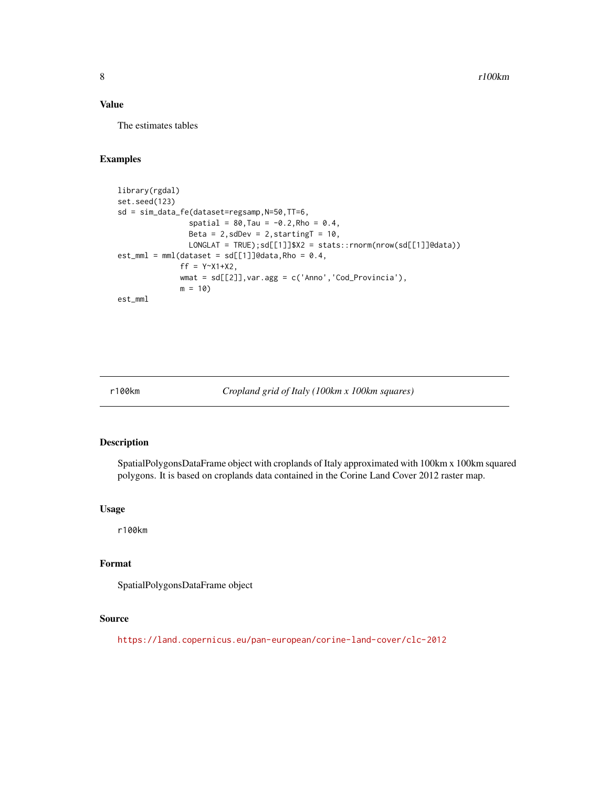#### <span id="page-7-0"></span>Value

The estimates tables

# Examples

```
library(rgdal)
set.seed(123)
sd = sim_data_fe(dataset=regsamp,N=50,TT=6,
                 spatial = 80, \text{Tau} = -0.2, \text{Rho} = 0.4,Beta = 2, sdDev = 2, startingT = 10,
                LONGLAT = TRUE);sd[[1]]$X2 = stats::rnorm(nrow(sd[[1]]@data))
est\_mm1 = mm1(dataset = sd[[1]]@data, Rho = 0.4,
               ff = Y~X1+X2,
              wmat = sd[[2]],var.agg = c('Anno','Cod_Provincia'),
              m = 10est_mml
```
r100km *Cropland grid of Italy (100km x 100km squares)*

# Description

SpatialPolygonsDataFrame object with croplands of Italy approximated with 100km x 100km squared polygons. It is based on croplands data contained in the Corine Land Cover 2012 raster map.

#### Usage

r100km

# Format

SpatialPolygonsDataFrame object

#### Source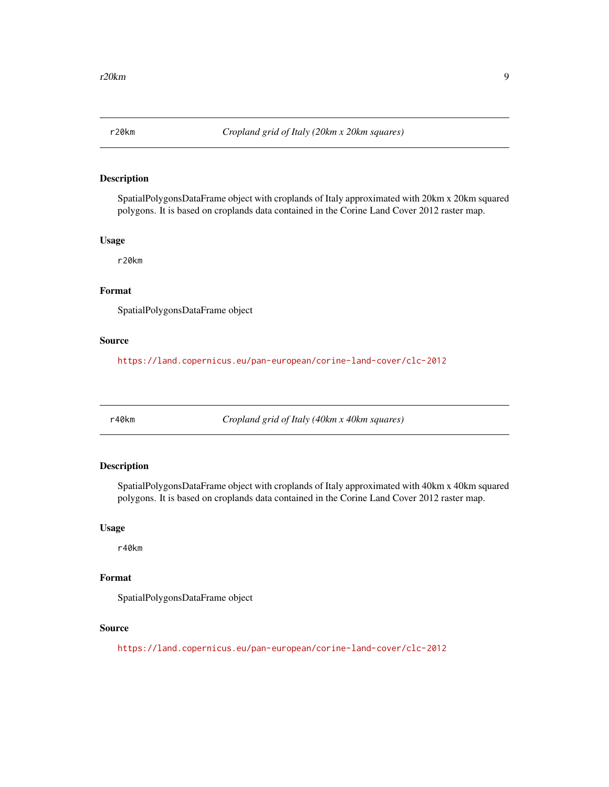<span id="page-8-0"></span>

SpatialPolygonsDataFrame object with croplands of Italy approximated with 20km x 20km squared polygons. It is based on croplands data contained in the Corine Land Cover 2012 raster map.

## Usage

r20km

# Format

SpatialPolygonsDataFrame object

#### Source

<https://land.copernicus.eu/pan-european/corine-land-cover/clc-2012>

r40km *Cropland grid of Italy (40km x 40km squares)*

#### Description

SpatialPolygonsDataFrame object with croplands of Italy approximated with 40km x 40km squared polygons. It is based on croplands data contained in the Corine Land Cover 2012 raster map.

#### Usage

r40km

# Format

SpatialPolygonsDataFrame object

# Source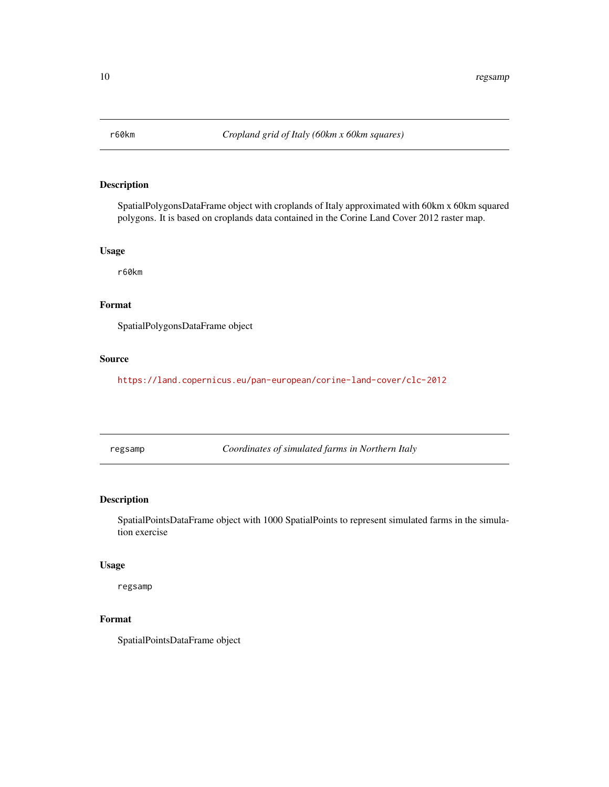<span id="page-9-0"></span>

SpatialPolygonsDataFrame object with croplands of Italy approximated with 60km x 60km squared polygons. It is based on croplands data contained in the Corine Land Cover 2012 raster map.

### Usage

r60km

# Format

SpatialPolygonsDataFrame object

#### Source

<https://land.copernicus.eu/pan-european/corine-land-cover/clc-2012>

regsamp *Coordinates of simulated farms in Northern Italy*

## Description

SpatialPointsDataFrame object with 1000 SpatialPoints to represent simulated farms in the simulation exercise

#### Usage

regsamp

# Format

SpatialPointsDataFrame object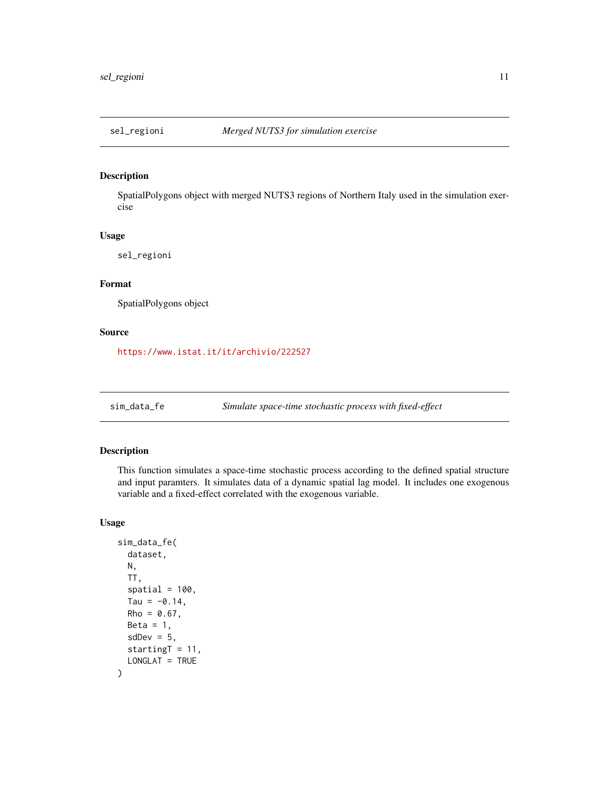<span id="page-10-0"></span>

SpatialPolygons object with merged NUTS3 regions of Northern Italy used in the simulation exercise

#### Usage

sel\_regioni

# Format

SpatialPolygons object

#### Source

<https://www.istat.it/it/archivio/222527>

sim\_data\_fe *Simulate space-time stochastic process with fixed-effect*

# Description

This function simulates a space-time stochastic process according to the defined spatial structure and input paramters. It simulates data of a dynamic spatial lag model. It includes one exogenous variable and a fixed-effect correlated with the exogenous variable.

#### Usage

```
sim_data_fe(
 dataset,
 N,
  TT,
  spatial = 100,Tau = -0.14,
 Rho = 0.67,
 Beta = 1,
  sdDev = 5,startingT = 11,
  LONGLAT = TRUE
)
```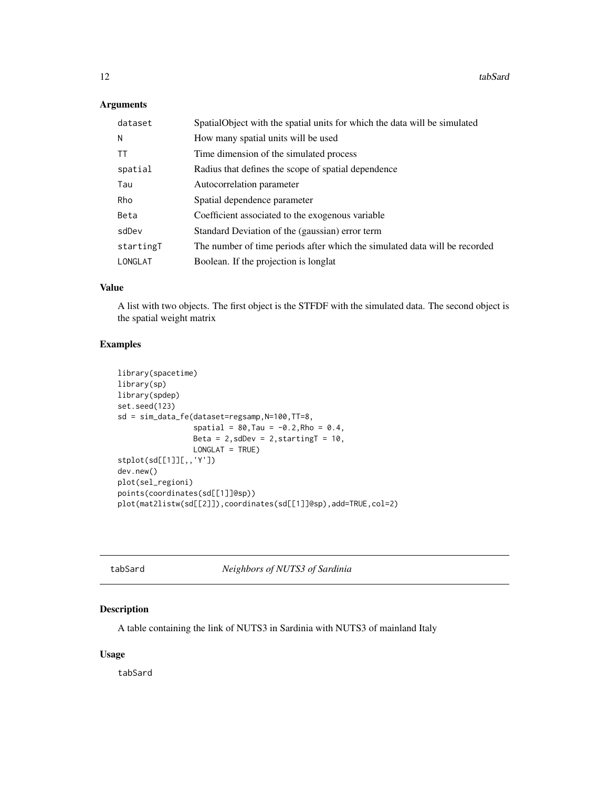# <span id="page-11-0"></span>Arguments

| dataset   | SpatialObject with the spatial units for which the data will be simulated  |
|-----------|----------------------------------------------------------------------------|
| N         | How many spatial units will be used                                        |
| <b>TT</b> | Time dimension of the simulated process                                    |
| spatial   | Radius that defines the scope of spatial dependence                        |
| Tau       | Autocorrelation parameter                                                  |
| Rho       | Spatial dependence parameter                                               |
| Beta      | Coefficient associated to the exogenous variable                           |
| sdDev     | Standard Deviation of the (gaussian) error term                            |
| startingT | The number of time periods after which the simulated data will be recorded |
| LONGLAT   | Boolean. If the projection is longlat                                      |

# Value

A list with two objects. The first object is the STFDF with the simulated data. The second object is the spatial weight matrix

# Examples

```
library(spacetime)
library(sp)
library(spdep)
set.seed(123)
sd = sim_data_fe(dataset=regsamp,N=100,TT=8,
                 spatial = 80, Tau = -0.2, Rho = 0.4,
                 Beta = 2, sdDev = 2, startingT = 10,
                 LONGLAT = TRUE)
stplot(sd[[1]][,,'Y'])
dev.new()
plot(sel_regioni)
points(coordinates(sd[[1]]@sp))
plot(mat2listw(sd[[2]]),coordinates(sd[[1]]@sp),add=TRUE,col=2)
```
**Neighbors of NUTS3 of Sardinia** 

# Description

A table containing the link of NUTS3 in Sardinia with NUTS3 of mainland Italy

# Usage

tabSard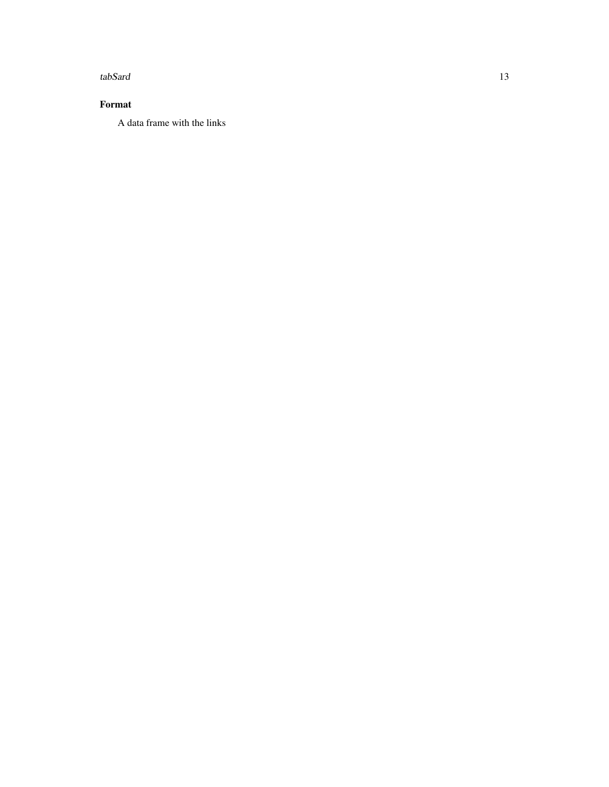tabSard 13

# Format

A data frame with the links